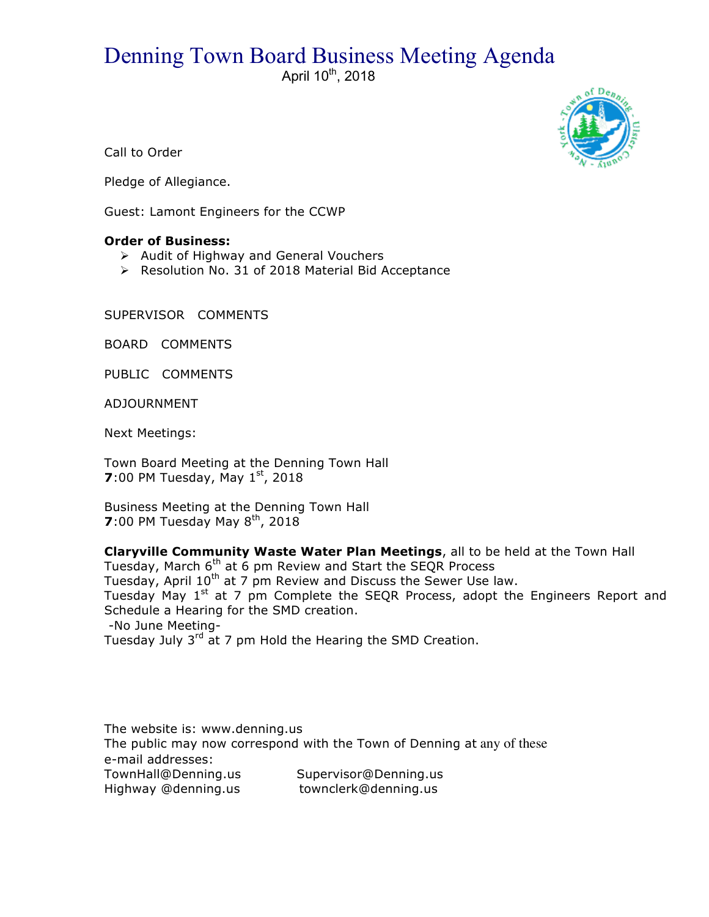## Denning Town Board Business Meeting Agenda

April 10<sup>th</sup>, 2018



Call to Order

Pledge of Allegiance.

Guest: Lamont Engineers for the CCWP

## **Order of Business:**

- $\triangleright$  Audit of Highway and General Vouchers
- > Resolution No. 31 of 2018 Material Bid Acceptance

SUPERVISOR COMMENTS

BOARD COMMENTS

PUBLIC COMMENTS

ADJOURNMENT

Next Meetings:

Town Board Meeting at the Denning Town Hall **7**:00 PM Tuesday, May  $1^{st}$ , 2018

Business Meeting at the Denning Town Hall **7**:00 PM Tuesday May  $8^{th}$ , 2018

**Claryville Community Waste Water Plan Meetings**, all to be held at the Town Hall Tuesday, March 6<sup>th</sup> at 6 pm Review and Start the SEQR Process Tuesday, April 10<sup>th</sup> at 7 pm Review and Discuss the Sewer Use law. Tuesday May 1<sup>st</sup> at 7 pm Complete the SEQR Process, adopt the Engineers Report and Schedule a Hearing for the SMD creation. -No June Meeting-Tuesday July 3<sup>rd</sup> at 7 pm Hold the Hearing the SMD Creation.

The website is: www.denning.us The public may now correspond with the Town of Denning at any of these e-mail addresses: TownHall@Denning.us Supervisor@Denning.us Highway @denning.us townclerk@denning.us